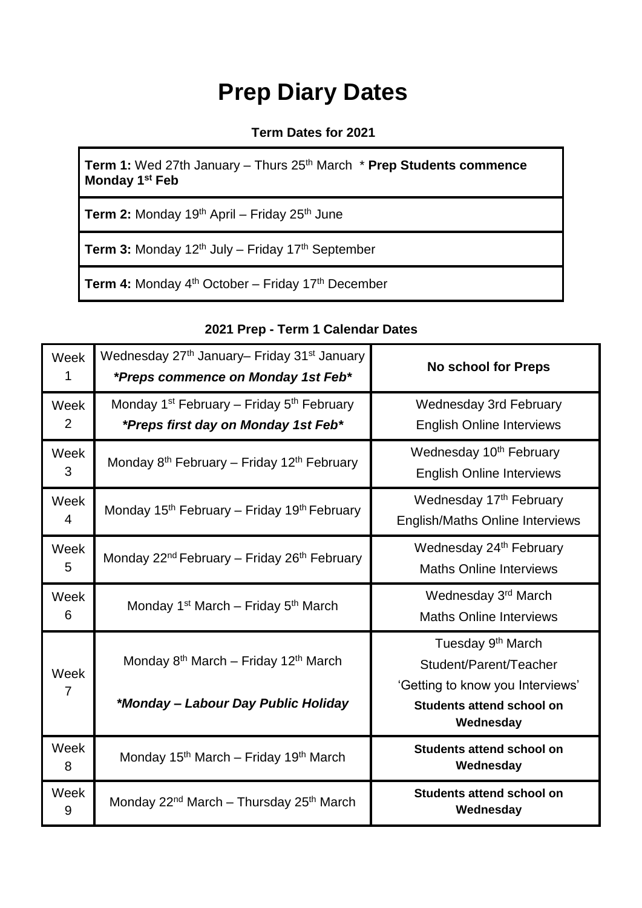# **Prep Diary Dates**

#### **Term Dates for 2021**

**Term 1:** Wed 27th January – Thurs 25<sup>th</sup> March \* **Prep Students commence Monday 1st Feb**

**Term 2:** Monday 19<sup>th</sup> April – Friday 25<sup>th</sup> June

Term 3: Monday 12<sup>th</sup> July – Friday 17<sup>th</sup> September

**Term 4:** Monday 4<sup>th</sup> October – Friday 17<sup>th</sup> December

### **2021 Prep - Term 1 Calendar Dates**

| Week<br>1 | Wednesday 27 <sup>th</sup> January– Friday 31 <sup>st</sup> January<br>*Preps commence on Monday 1st Feb* | <b>No school for Preps</b>                                                                                                                   |
|-----------|-----------------------------------------------------------------------------------------------------------|----------------------------------------------------------------------------------------------------------------------------------------------|
| Week<br>2 | Monday 1 <sup>st</sup> February – Friday 5 <sup>th</sup> February<br>*Preps first day on Monday 1st Feb*  | <b>Wednesday 3rd February</b><br><b>English Online Interviews</b>                                                                            |
| Week<br>3 | Monday 8 <sup>th</sup> February – Friday 12 <sup>th</sup> February                                        | Wednesday 10 <sup>th</sup> February<br><b>English Online Interviews</b>                                                                      |
| Week<br>4 | Monday 15 <sup>th</sup> February – Friday 19 <sup>th</sup> February                                       | Wednesday 17th February<br><b>English/Maths Online Interviews</b>                                                                            |
| Week<br>5 | Monday 22 <sup>nd</sup> February – Friday 26 <sup>th</sup> February                                       | Wednesday 24 <sup>th</sup> February<br><b>Maths Online Interviews</b>                                                                        |
| Week<br>6 | Monday 1 <sup>st</sup> March – Friday 5 <sup>th</sup> March                                               | Wednesday 3rd March<br><b>Maths Online Interviews</b>                                                                                        |
| Week<br>7 | Monday 8 <sup>th</sup> March - Friday 12 <sup>th</sup> March<br>*Monday - Labour Day Public Holiday       | Tuesday 9 <sup>th</sup> March<br>Student/Parent/Teacher<br>'Getting to know you Interviews'<br><b>Students attend school on</b><br>Wednesday |
| Week<br>8 | Monday 15 <sup>th</sup> March – Friday 19 <sup>th</sup> March                                             | <b>Students attend school on</b><br>Wednesday                                                                                                |
| Week<br>9 | Monday 22 <sup>nd</sup> March - Thursday 25 <sup>th</sup> March                                           | <b>Students attend school on</b><br>Wednesday                                                                                                |